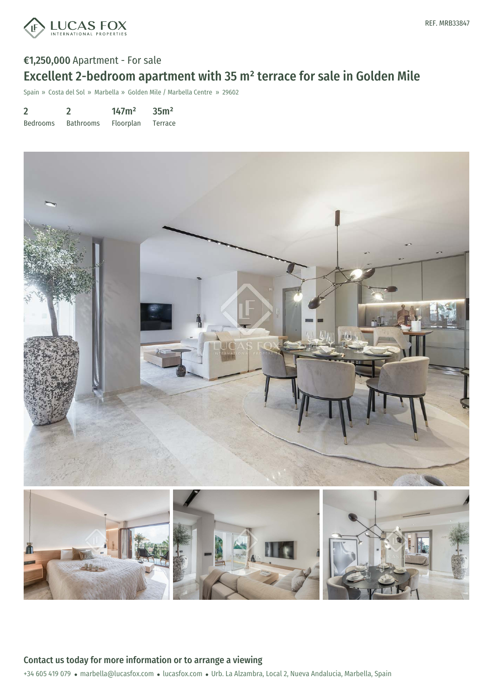

# €1,250,000 Apartment - For sale Excellent 2-bedroom apartment with 35 m² terrace for sale in Golden Mile

Spain » Costa del Sol » Marbella » Golden Mile / Marbella Centre » 29602

2 Bedrooms 2 Bathrooms 147m² Floorplan 35m² Terrace



Contact us today for more information or to arrange a viewing

+34 605 419 079 · marbella@lucasfox.com · lucasfox.com · Urb. La Alzambra, Local 2, Nueva Andalucia, Marbella, Spain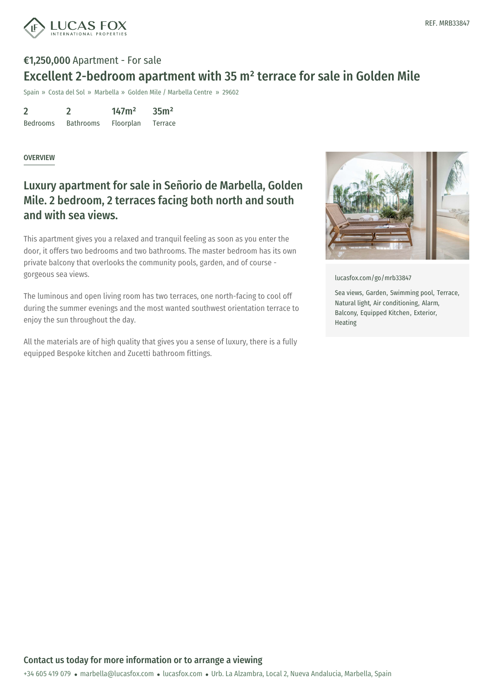

## €1,250,000 Apartment - For sale Excellent 2-bedroom apartment with 35 m² terrace for sale in Golden Mile

Spain » Costa del Sol » Marbella » Golden Mile / Marbella Centre » 29602

2 Bedrooms 2 Bathrooms 147m² Floorplan 35m² Terrace

#### **OVERVIEW**

## Luxury apartment for sale in Señorio de Marbella, Golden Mile. 2 bedroom, 2 terraces facing both north and south and with sea views.

This apartment gives you a relaxed and tranquil feeling as soon as you enter the door, it offers two bedrooms and two bathrooms. The master bedroom has its own private balcony that overlooks the community pools, garden, and of course gorgeous sea views.

The luminous and open living room has two terraces, one north-facing to cool off during the summer evenings and the most wanted southwest orientation terrace to enjoy the sun throughout the day.

All the materials are of high quality that gives you a sense of luxury, there is a fully equipped Bespoke kitchen and Zucetti bathroom fittings.



[lucasfox.com/go/mrb33847](https://www.lucasfox.com/go/mrb33847)

Sea views, Garden, Swimming pool, Terrace, Natural light, Air conditioning, Alarm, Balcony, Equipped Kitchen, Exterior, Heating